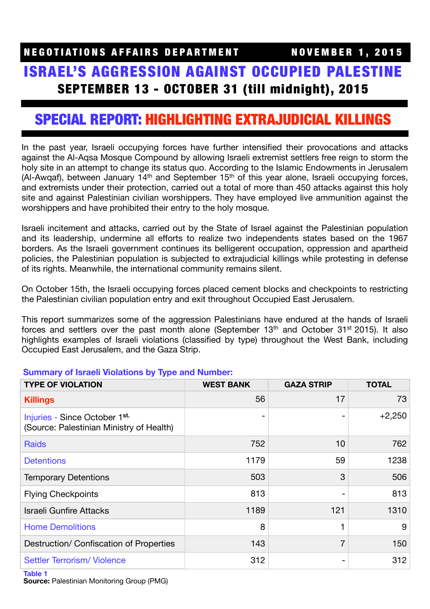# ISRAEL'S AGGRESSION AGAINST OCCUPIED PALESTINE SEPTEMBER 13 - OCTOBER 31 (till midnight), 2015

# SPECIAL REPORT: HIGHLIGHTING EXTRAJUDICIAL KILLINGS

In the past year, Israeli occupying forces have further intensified their provocations and attacks against the Al-Aqsa Mosque Compound by allowing Israeli extremist settlers free reign to storm the holy site in an attempt to change its status quo. According to the Islamic Endowments in Jerusalem (Al-Awqaf), between January  $14<sup>th</sup>$  and September  $15<sup>th</sup>$  of this year alone, Israeli occupying forces, and extremists under their protection, carried out a total of more than 450 attacks against this holy site and against Palestinian civilian worshippers. They have employed live ammunition against the worshippers and have prohibited their entry to the holy mosque.

Israeli incitement and attacks, carried out by the State of Israel against the Palestinian population and its leadership, undermine all efforts to realize two independents states based on the 1967 borders. As the Israeli government continues its belligerent occupation, oppression and apartheid policies, the Palestinian population is subjected to extrajudicial killings while protesting in defense of its rights. Meanwhile, the international community remains silent.

On October 15th, the Israeli occupying forces placed cement blocks and checkpoints to restricting the Palestinian civilian population entry and exit throughout Occupied East Jerusalem.

This report summarizes some of the aggression Palestinians have endured at the hands of Israeli forces and settlers over the past month alone (September  $13<sup>th</sup>$  and October  $31<sup>st</sup>$  2015). It also highlights examples of Israeli violations (classified by type) throughout the West Bank, including Occupied East Jerusalem, and the Gaza Strip.

| <b>TYPE OF VIOLATION</b>                                                  | <b>WEST BANK</b>         | <b>GAZA STRIP</b> | <b>TOTAL</b> |
|---------------------------------------------------------------------------|--------------------------|-------------------|--------------|
| <b>Killings</b>                                                           | 56                       | 17                | 73           |
| Injuries - Since October 1st.<br>(Source: Palestinian Ministry of Health) | $\overline{\phantom{0}}$ |                   | $+2,250$     |
| <b>Raids</b>                                                              | 752                      | 10                | 762          |
| <b>Detentions</b>                                                         | 1179                     | 59                | 1238         |
| <b>Temporary Detentions</b>                                               | 503                      | 3                 | 506          |
| <b>Flying Checkpoints</b>                                                 | 813                      |                   | 813          |
| <b>Israeli Gunfire Attacks</b>                                            | 1189                     | 121               | 1310         |
| <b>Home Demolitions</b>                                                   | 8                        |                   | 9            |
| Destruction/ Confiscation of Properties                                   | 143                      | 7                 | 150          |
| <b>Settler Terrorism/Violence</b>                                         | 312                      |                   | 312          |

# **Summary of Israeli Violations by Type and Number:**

**Source:** Palestinian Monitoring Group (PMG)

**Table 1**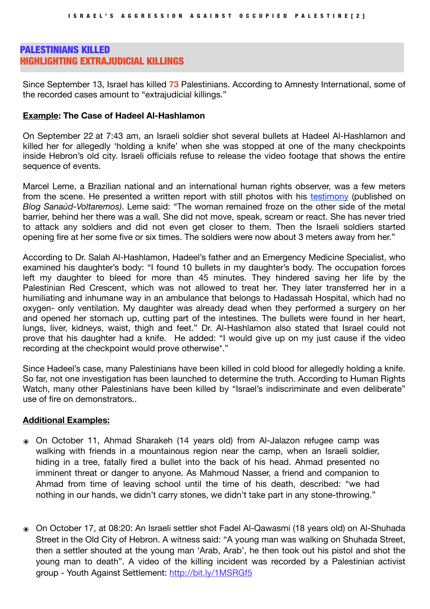# PALESTINIANS KILLED HIGHLIGHTING EXTRAJUDICIAL KILLINGS

Since September 13, Israel has killed **73** Palestinians. According to Amnesty International, some of the recorded cases amount to "extrajudicial killings."

#### **Example: The Case of Hadeel Al-Hashlamon**

On September 22 at 7:43 am, an Israeli soldier shot several bullets at Hadeel Al-Hashlamon and killed her for allegedly 'holding a knife' when she was stopped at one of the many checkpoints inside Hebron's old city. Israeli officials refuse to release the video footage that shows the entire sequence of events.

Marcel Leme, a Brazilian national and an international human rights observer, was a few meters from the scene. He presented a written report with still photos with his [testimony](http://sanaud-voltaremos.blogspot.co.il/p/brazil-26th-september-2015.html) (published on *Blog Sanaúd-Voltaremos)*. Leme said: "The woman remained froze on the other side of the metal barrier, behind her there was a wall. She did not move, speak, scream or react. She has never tried to attack any soldiers and did not even get closer to them. Then the Israeli soldiers started opening fire at her some five or six times. The soldiers were now about 3 meters away from her."

According to Dr. Salah Al-Hashlamon, Hadeel's father and an Emergency Medicine Specialist, who examined his daughter's body: "I found 10 bullets in my daughter's body. The occupation forces left my daughter to bleed for more than 45 minutes. They hindered saving her life by the Palestinian Red Crescent, which was not allowed to treat her. They later transferred her in a humiliating and inhumane way in an ambulance that belongs to Hadassah Hospital, which had no oxygen- only ventilation. My daughter was already dead when they performed a surgery on her and opened her stomach up, cutting part of the intestines. The bullets were found in her heart, lungs, liver, kidneys, waist, thigh and feet." Dr. Al-Hashlamon also stated that Israel could not prove that his daughter had a knife. He added: "I would give up on my just cause if the video recording at the checkpoint would prove otherwise\*."

Since Hadeel's case, many Palestinians have been killed in cold blood for allegedly holding a knife. So far, not one investigation has been launched to determine the truth. According to Human Rights Watch, many other Palestinians have been killed by "Israel's indiscriminate and even deliberate" use of fire on demonstrators..

### **Additional Examples:**

- ๏ On October 11, Ahmad Sharakeh (14 years old) from Al-Jalazon refugee camp was walking with friends in a mountainous region near the camp, when an Israeli soldier, hiding in a tree, fatally fired a bullet into the back of his head. Ahmad presented no imminent threat or danger to anyone. As Mahmoud Nasser, a friend and companion to Ahmad from time of leaving school until the time of his death, described: "we had nothing in our hands, we didn't carry stones, we didn't take part in any stone-throwing."
- ๏ On October 17, at 08:20: An Israeli settler shot Fadel Al-Qawasmi (18 years old) on Al-Shuhada Street in the Old City of Hebron. A witness said: "A young man was walking on Shuhada Street, then a settler shouted at the young man 'Arab, Arab', he then took out his pistol and shot the young man to death". A video of the killing incident was recorded by a Palestinian activist group - Youth Against Settlement:<http://bit.ly/1MSRGf5>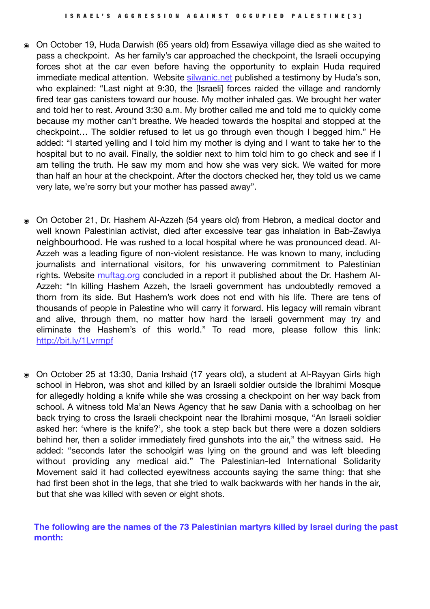- ๏ On October 19, Huda Darwish (65 years old) from Essawiya village died as she waited to pass a checkpoint. As her family's car approached the checkpoint, the Israeli occupying forces shot at the car even before having the opportunity to explain Huda required immediate medical attention. Website [silwanic.net](http://silwanic.net) published a testimony by Huda's son, who explained: "Last night at 9:30, the [Israeli] forces raided the village and randomly fired tear gas canisters toward our house. My mother inhaled gas. We brought her water and told her to rest. Around 3:30 a.m. My brother called me and told me to quickly come because my mother can't breathe. We headed towards the hospital and stopped at the checkpoint… The soldier refused to let us go through even though I begged him." He added: "I started yelling and I told him my mother is dying and I want to take her to the hospital but to no avail. Finally, the soldier next to him told him to go check and see if I am telling the truth. He saw my mom and how she was very sick. We waited for more than half an hour at the checkpoint. After the doctors checked her, they told us we came very late, we're sorry but your mother has passed away".
- ๏ On October 21, Dr. Hashem Al-Azzeh (54 years old) from Hebron, a medical doctor and well known Palestinian activist, died after excessive tear gas inhalation in Bab-Zawiya neighbourhood. He was rushed to a local hospital where he was pronounced dead. Al-Azzeh was a leading figure of non-violent resistance. He was known to many, including journalists and international visitors, for his unwavering commitment to Palestinian rights. Website [muftag.org](http://muftag.org) concluded in a report it published about the Dr. Hashem Al-Azzeh: "In killing Hashem Azzeh, the Israeli government has undoubtedly removed a thorn from its side. But Hashem's work does not end with his life. There are tens of thousands of people in Palestine who will carry it forward. His legacy will remain vibrant and alive, through them, no matter how hard the Israeli government may try and eliminate the Hashem's of this world." To read more, please follow this link: <http://bit.ly/1Lvrmpf>
- ๏ On October 25 at 13:30, Dania Irshaid (17 years old), a student at Al-Rayyan Girls high school in Hebron, was shot and killed by an Israeli soldier outside the Ibrahimi Mosque for allegedly holding a knife while she was crossing a checkpoint on her way back from school. A witness told Ma'an News Agency that he saw Dania with a schoolbag on her back trying to cross the Israeli checkpoint near the Ibrahimi mosque, "An Israeli soldier asked her: 'where is the knife?', she took a step back but there were a dozen soldiers behind her, then a solider immediately fired gunshots into the air," the witness said. He added: "seconds later the schoolgirl was lying on the ground and was left bleeding without providing any medical aid." The Palestinian-led International Solidarity Movement said it had collected eyewitness accounts saying the same thing: that she had first been shot in the legs, that she tried to walk backwards with her hands in the air, but that she was killed with seven or eight shots.

**The following are the names of the 73 Palestinian martyrs killed by Israel during the past month:**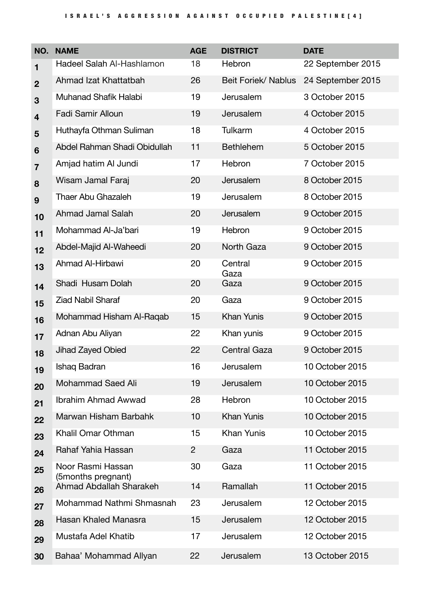| NO.            | <b>NAME</b>                             | <b>AGE</b>     | <b>DISTRICT</b>     | <b>DATE</b>       |
|----------------|-----------------------------------------|----------------|---------------------|-------------------|
| $\mathbf{1}$   | Hadeel Salah Al-Hashlamon               | 18             | Hebron              | 22 September 2015 |
| $\mathbf{2}$   | Ahmad Izat Khattatbah                   | 26             | Beit Foriek/ Nablus | 24 September 2015 |
| 3              | Muhanad Shafik Halabi                   | 19             | Jerusalem           | 3 October 2015    |
| 4              | <b>Fadi Samir Alloun</b>                | 19             | Jerusalem           | 4 October 2015    |
| 5              | Huthayfa Othman Suliman                 | 18             | Tulkarm             | 4 October 2015    |
| 6              | Abdel Rahman Shadi Obidullah            | 11             | <b>Bethlehem</b>    | 5 October 2015    |
| $\overline{7}$ | Amjad hatim Al Jundi                    | 17             | Hebron              | 7 October 2015    |
| 8              | Wisam Jamal Faraj                       | 20             | Jerusalem           | 8 October 2015    |
| 9              | <b>Thaer Abu Ghazaleh</b>               | 19             | Jerusalem           | 8 October 2015    |
| 10             | <b>Ahmad Jamal Salah</b>                | 20             | Jerusalem           | 9 October 2015    |
| 11             | Mohammad Al-Ja'bari                     | 19             | Hebron              | 9 October 2015    |
| 12             | Abdel-Majid Al-Waheedi                  | 20             | North Gaza          | 9 October 2015    |
| 13             | Ahmad Al-Hirbawi                        | 20             | Central<br>Gaza     | 9 October 2015    |
| 14             | Shadi Husam Dolah                       | 20             | Gaza                | 9 October 2015    |
| 15             | <b>Ziad Nabil Sharaf</b>                | 20             | Gaza                | 9 October 2015    |
| 16             | Mohammad Hisham Al-Raqab                | 15             | <b>Khan Yunis</b>   | 9 October 2015    |
| 17             | Adnan Abu Aliyan                        | 22             | Khan yunis          | 9 October 2015    |
| 18             | Jihad Zayed Obied                       | 22             | <b>Central Gaza</b> | 9 October 2015    |
| 19             | Ishaq Badran                            | 16             | Jerusalem           | 10 October 2015   |
| 20             | <b>Mohammad Saed Ali</b>                | 19             | Jerusalem           | 10 October 2015   |
| 21             | <b>Ibrahim Ahmad Awwad</b>              | 28             | Hebron              | 10 October 2015   |
| 22             | Marwan Hisham Barbahk                   | 10             | <b>Khan Yunis</b>   | 10 October 2015   |
| 23             | Khalil Omar Othman                      | 15             | <b>Khan Yunis</b>   | 10 October 2015   |
| 24             | Rahaf Yahia Hassan                      | $\overline{2}$ | Gaza                | 11 October 2015   |
| 25             | Noor Rasmi Hassan<br>(5months pregnant) | 30             | Gaza                | 11 October 2015   |
| 26             | Ahmad Abdallah Sharakeh                 | 14             | Ramallah            | 11 October 2015   |
| 27             | Mohammad Nathmi Shmasnah                | 23             | Jerusalem           | 12 October 2015   |
| 28             | Hasan Khaled Manasra                    | 15             | Jerusalem           | 12 October 2015   |
| 29             | Mustafa Adel Khatib                     | 17             | Jerusalem           | 12 October 2015   |
| 30             | Bahaa' Mohammad Allyan                  | 22             | Jerusalem           | 13 October 2015   |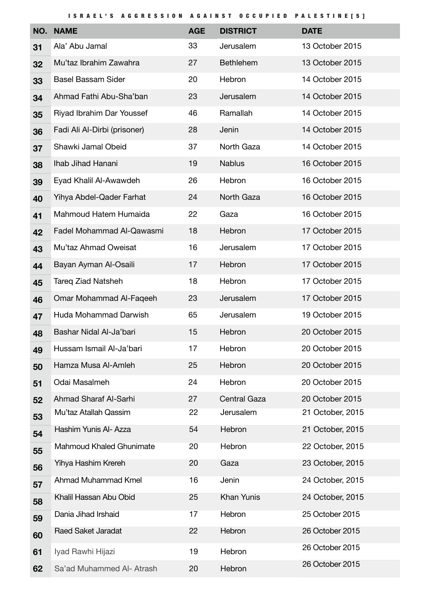ISRAEL'S AGGRESSION AGAINST OCCUPIED PALESTINE[5 ]

| NO. | <b>NAME</b>                     | <b>AGE</b> | <b>DISTRICT</b>     | <b>DATE</b>      |
|-----|---------------------------------|------------|---------------------|------------------|
| 31  | Ala' Abu Jamal                  | 33         | Jerusalem           | 13 October 2015  |
| 32  | Mu'taz Ibrahim Zawahra          | 27         | <b>Bethlehem</b>    | 13 October 2015  |
| 33  | <b>Basel Bassam Sider</b>       | 20         | Hebron              | 14 October 2015  |
| 34  | Ahmad Fathi Abu-Sha'ban         | 23         | Jerusalem           | 14 October 2015  |
| 35  | Riyad Ibrahim Dar Youssef       | 46         | Ramallah            | 14 October 2015  |
| 36  | Fadi Ali Al-Dirbi (prisoner)    | 28         | Jenin               | 14 October 2015  |
| 37  | Shawki Jamal Obeid              | 37         | North Gaza          | 14 October 2015  |
| 38  | Ihab Jihad Hanani               | 19         | <b>Nablus</b>       | 16 October 2015  |
| 39  | Eyad Khalil Al-Awawdeh          | 26         | Hebron              | 16 October 2015  |
| 40  | Yihya Abdel-Qader Farhat        | 24         | North Gaza          | 16 October 2015  |
| 41  | Mahmoud Hatem Humaida           | 22         | Gaza                | 16 October 2015  |
| 42  | Fadel Mohammad Al-Qawasmi       | 18         | Hebron              | 17 October 2015  |
| 43  | Mu'taz Ahmad Oweisat            | 16         | Jerusalem           | 17 October 2015  |
| 44  | Bayan Ayman Al-Osaili           | 17         | Hebron              | 17 October 2015  |
| 45  | <b>Tareg Ziad Natsheh</b>       | 18         | Hebron              | 17 October 2015  |
| 46  | Omar Mohammad Al-Faqeeh         | 23         | Jerusalem           | 17 October 2015  |
| 47  | Huda Mohammad Darwish           | 65         | Jerusalem           | 19 October 2015  |
| 48  | Bashar Nidal Al-Ja'bari         | 15         | Hebron              | 20 October 2015  |
| 49  | Hussam Ismail Al-Ja'bari        | 17         | Hebron              | 20 October 2015  |
| 50  | Hamza Musa Al-Amleh             | 25         | Hebron              | 20 October 2015  |
| 51  | Odai Masalmeh                   | 24         | Hebron              | 20 October 2015  |
| 52  | Ahmad Sharaf Al-Sarhi           | 27         | <b>Central Gaza</b> | 20 October 2015  |
| 53  | Mu'taz Atallah Qassim           | 22         | Jerusalem           | 21 October, 2015 |
| 54  | Hashim Yunis Al- Azza           | 54         | Hebron              | 21 October, 2015 |
| 55  | <b>Mahmoud Khaled Ghunimate</b> | 20         | Hebron              | 22 October, 2015 |
| 56  | Yihya Hashim Krereh             | 20         | Gaza                | 23 October, 2015 |
| 57  | Ahmad Muhammad Kmel             | 16         | Jenin               | 24 October, 2015 |
| 58  | Khalil Hassan Abu Obid          | 25         | <b>Khan Yunis</b>   | 24 October, 2015 |
| 59  | Dania Jihad Irshaid             | 17         | Hebron              | 25 October 2015  |
| 60  | Raed Saket Jaradat              | 22         | Hebron              | 26 October 2015  |
| 61  | Iyad Rawhi Hijazi               | 19         | Hebron              | 26 October 2015  |
| 62  | Sa'ad Muhammed Al- Atrash       | 20         | Hebron              | 26 October 2015  |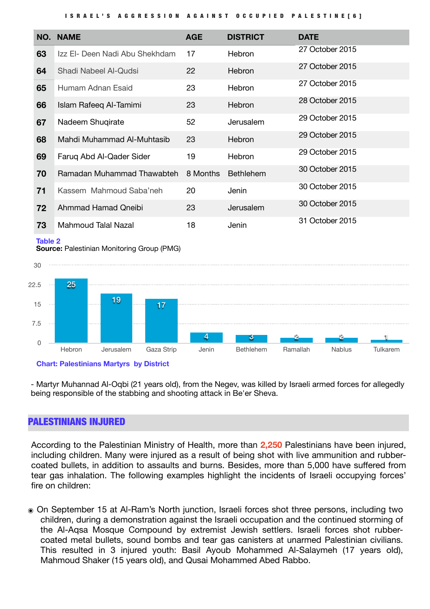#### ISRAEL'S AGGRESSION AGAINST OCCUPIED PALESTINE[6 ]

| NO. | <b>NAME</b>                    | <b>AGE</b> | <b>DISTRICT</b>  | <b>DATE</b>     |
|-----|--------------------------------|------------|------------------|-----------------|
| 63  | Izz El- Deen Nadi Abu Shekhdam | 17         | Hebron           | 27 October 2015 |
| 64  | Shadi Nabeel Al-Qudsi          | 22         | <b>Hebron</b>    | 27 October 2015 |
| 65  | Humam Adnan Esaid              | 23         | <b>Hebron</b>    | 27 October 2015 |
| 66  | Islam Rafeeg Al-Tamimi         | 23         | <b>Hebron</b>    | 28 October 2015 |
| 67  | Nadeem Shugirate               | 52         | Jerusalem        | 29 October 2015 |
| 68  | Mahdi Muhammad Al-Muhtasib     | 23         | Hebron           | 29 October 2015 |
| 69  | Farug Abd Al-Qader Sider       | 19         | <b>Hebron</b>    | 29 October 2015 |
| 70  | Ramadan Muhammad Thawabteh     | 8 Months   | <b>Bethlehem</b> | 30 October 2015 |
| 71  | Kassem Mahmoud Saba'neh        | 20         | Jenin            | 30 October 2015 |
| 72  | Ahmmad Hamad Qneibi            | 23         | Jerusalem        | 30 October 2015 |
| 73  | Mahmoud Talal Nazal            | 18         | Jenin            | 31 October 2015 |

#### **Table 2**





#### **Chart: Palestinians Martyrs by District**

- Martyr Muhannad Al-Oqbi (21 years old), from the Negev, was killed by Israeli armed forces for allegedly being responsible of the stabbing and shooting attack in Be'er Sheva.

#### PALESTINIANS INJURED

According to the Palestinian Ministry of Health, more than **2,250** Palestinians have been injured, including children. Many were injured as a result of being shot with live ammunition and rubbercoated bullets, in addition to assaults and burns. Besides, more than 5,000 have suffered from tear gas inhalation. The following examples highlight the incidents of Israeli occupying forces' fire on children:

๏ On September 15 at Al-Ram's North junction, Israeli forces shot three persons, including two children, during a demonstration against the Israeli occupation and the continued storming of the Al-Aqsa Mosque Compound by extremist Jewish settlers. Israeli forces shot rubbercoated metal bullets, sound bombs and tear gas canisters at unarmed Palestinian civilians. This resulted in 3 injured youth: Basil Ayoub Mohammed Al-Salaymeh (17 years old), Mahmoud Shaker (15 years old), and Qusai Mohammed Abed Rabbo.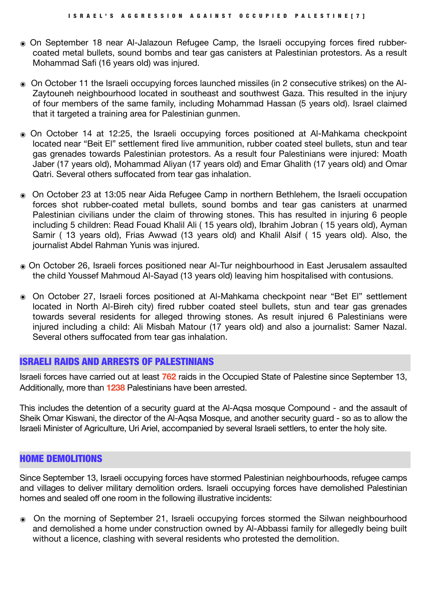- ๏ On September 18 near Al-Jalazoun Refugee Camp, the Israeli occupying forces fired rubbercoated metal bullets, sound bombs and tear gas canisters at Palestinian protestors. As a result Mohammad Safi (16 years old) was injured.
- ๏ On October 11 the Israeli occupying forces launched missiles (in 2 consecutive strikes) on the Al-Zaytouneh neighbourhood located in southeast and southwest Gaza. This resulted in the injury of four members of the same family, including Mohammad Hassan (5 years old). Israel claimed that it targeted a training area for Palestinian gunmen.
- ๏ On October 14 at 12:25, the Israeli occupying forces positioned at Al-Mahkama checkpoint located near "Beit El" settlement fired live ammunition, rubber coated steel bullets, stun and tear gas grenades towards Palestinian protestors. As a result four Palestinians were injured: Moath Jaber (17 years old), Mohammad Aliyan (17 years old) and Emar Ghalith (17 years old) and Omar Qatri. Several others suffocated from tear gas inhalation.
- ๏ On October 23 at 13:05 near Aida Refugee Camp in northern Bethlehem, the Israeli occupation forces shot rubber-coated metal bullets, sound bombs and tear gas canisters at unarmed Palestinian civilians under the claim of throwing stones. This has resulted in injuring 6 people including 5 children: Read Fouad Khalil Ali ( 15 years old), Ibrahim Jobran ( 15 years old), Ayman Samir ( 13 years old), Frias Awwad (13 years old) and Khalil Alsif ( 15 years old). Also, the journalist Abdel Rahman Yunis was injured.
- ๏ On October 26, Israeli forces positioned near Al-Tur neighbourhood in East Jerusalem assaulted the child Youssef Mahmoud Al-Sayad (13 years old) leaving him hospitalised with contusions.
- ๏ On October 27, Israeli forces positioned at Al-Mahkama checkpoint near "Bet El" settlement located in North Al-Bireh city) fired rubber coated steel bullets, stun and tear gas grenades towards several residents for alleged throwing stones. As result injured 6 Palestinians were injured including a child: Ali Misbah Matour (17 years old) and also a journalist: Samer Nazal. Several others suffocated from tear gas inhalation.

### ISRAELI RAIDS AND ARRESTS OF PALESTINIANS

Israeli forces have carried out at least **762** raids in the Occupied State of Palestine since September 13, Additionally, more than **1238** Palestinians have been arrested.

This includes the detention of a security guard at the Al-Aqsa mosque Compound - and the assault of Sheik Omar Kiswani, the director of the Al-Aqsa Mosque, and another security guard - so as to allow the Israeli Minister of Agriculture, Uri Ariel, accompanied by several Israeli settlers, to enter the holy site.

#### HOME DEMOLITIONS

Since September 13, Israeli occupying forces have stormed Palestinian neighbourhoods, refugee camps and villages to deliver military demolition orders. Israeli occupying forces have demolished Palestinian homes and sealed off one room in the following illustrative incidents:

๏ On the morning of September 21, Israeli occupying forces stormed the Silwan neighbourhood and demolished a home under construction owned by Al-Abbassi family for allegedly being built without a licence, clashing with several residents who protested the demolition.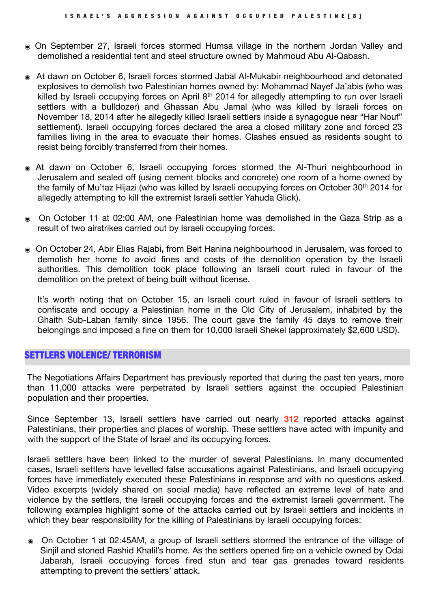- ๏ On September 27, Israeli forces stormed Humsa village in the northern Jordan Valley and demolished a residential tent and steel structure owned by Mahmoud Abu Al-Qabash.
- ๏ At dawn on October 6, Israeli forces stormed Jabal Al-Mukabir neighbourhood and detonated explosives to demolish two Palestinian homes owned by: Mohammad Nayef Ja'abis (who was killed by Israeli occupying forces on April 8<sup>th</sup> 2014 for allegedly attempting to run over Israeli settlers with a bulldozer) and Ghassan Abu Jamal (who was killed by Israeli forces on November 18, 2014 after he allegedly killed Israeli settlers inside a synagogue near "Har Nouf" settlement). Israeli occupying forces declared the area a closed military zone and forced 23 families living in the area to evacuate their homes. Clashes ensued as residents sought to resist being forcibly transferred from their homes.
- ๏ At dawn on October 6, Israeli occupying forces stormed the Al-Thuri neighbourhood in Jerusalem and sealed off (using cement blocks and concrete) one room of a home owned by the family of Mu'taz Hijazi (who was killed by Israeli occupying forces on October 30<sup>th</sup> 2014 for allegedly attempting to kill the extremist Israeli settler Yahuda Glick).
- ๏ On October 11 at 02:00 AM, one Palestinian home was demolished in the Gaza Strip as a result of two airstrikes carried out by Israeli occupying forces.
- ๏ On October 24, Abir Elias Rajabi**,** from Beit Hanina neighbourhood in Jerusalem, was forced to demolish her home to avoid fines and costs of the demolition operation by the Israeli authorities. This demolition took place following an Israeli court ruled in favour of the demolition on the pretext of being built without license.

It's worth noting that on October 15, an Israeli court ruled in favour of Israeli settlers to confiscate and occupy a Palestinian home in the Old City of Jerusalem, inhabited by the Ghaith Sub-Laban family since 1956. The court gave the family 45 days to remove their belongings and imposed a fine on them for 10,000 Israeli Shekel (approximately \$2,600 USD).

#### SETTLERS VIOLENCE/ TERRORISM

The Negotiations Affairs Department has previously reported that during the past ten years, more than 11,000 attacks were perpetrated by Israeli settlers against the occupied Palestinian population and their properties.

Since September 13, Israeli settlers have carried out nearly **312** reported attacks against Palestinians, their properties and places of worship. These settlers have acted with impunity and with the support of the State of Israel and its occupying forces.

Israeli settlers have been linked to the murder of several Palestinians. In many documented cases, Israeli settlers have levelled false accusations against Palestinians, and Israeli occupying forces have immediately executed these Palestinians in response and with no questions asked. Video excerpts (widely shared on social media) have reflected an extreme level of hate and violence by the settlers, the Israeli occupying forces and the extremist Israeli government. The following examples highlight some of the attacks carried out by Israeli settlers and incidents in which they bear responsibility for the killing of Palestinians by Israeli occupying forces:

๏ On October 1 at 02:45AM, a group of Israeli settlers stormed the entrance of the village of Sinjil and stoned Rashid Khalil's home. As the settlers opened fire on a vehicle owned by Odai Jabarah, Israeli occupying forces fired stun and tear gas grenades toward residents attempting to prevent the settlers' attack.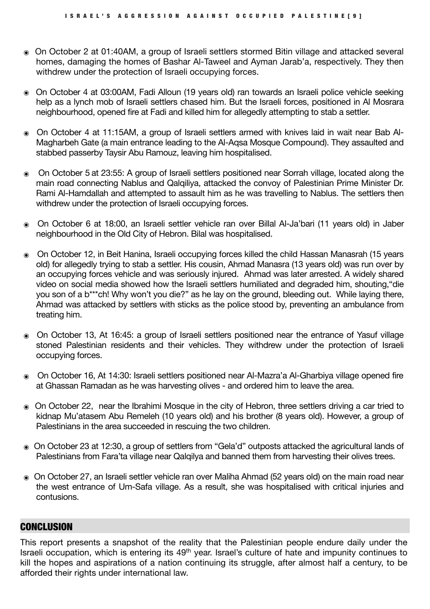- ๏ On October 2 at 01:40AM, a group of Israeli settlers stormed Bitin village and attacked several homes, damaging the homes of Bashar Al-Taweel and Ayman Jarab'a, respectively. They then withdrew under the protection of Israeli occupying forces.
- ๏ On October 4 at 03:00AM, Fadi Alloun (19 years old) ran towards an Israeli police vehicle seeking help as a lynch mob of Israeli settlers chased him. But the Israeli forces, positioned in Al Mosrara neighbourhood, opened fire at Fadi and killed him for allegedly attempting to stab a settler.
- ๏ On October 4 at 11:15AM, a group of Israeli settlers armed with knives laid in wait near Bab Al-Magharbeh Gate (a main entrance leading to the Al-Aqsa Mosque Compound). They assaulted and stabbed passerby Taysir Abu Ramouz, leaving him hospitalised.
- ๏ On October 5 at 23:55: A group of Israeli settlers positioned near Sorrah village, located along the main road connecting Nablus and Qalqiliya, attacked the convoy of Palestinian Prime Minister Dr. Rami Al-Hamdallah and attempted to assault him as he was travelling to Nablus. The settlers then withdrew under the protection of Israeli occupying forces.
- ๏ On October 6 at 18:00, an Israeli settler vehicle ran over Billal Al-Ja'bari (11 years old) in Jaber neighbourhood in the Old City of Hebron. Bilal was hospitalised.
- ๏ On October 12, in Beit Hanina, Israeli occupying forces killed the child Hassan Manasrah (15 years old) for allegedly trying to stab a settler. His cousin, Ahmad Manasra (13 years old) was run over by an occupying forces vehicle and was seriously injured. Ahmad was later arrested. A widely shared video on social media showed how the Israeli settlers humiliated and degraded him, shouting,"die you son of a b\*\*\*ch! Why won't you die?" as he lay on the ground, bleeding out. While laying there, Ahmad was attacked by settlers with sticks as the police stood by, preventing an ambulance from treating him.
- ๏ On October 13, At 16:45: a group of Israeli settlers positioned near the entrance of Yasuf village stoned Palestinian residents and their vehicles. They withdrew under the protection of Israeli occupying forces.
- ๏ On October 16, At 14:30: Israeli settlers positioned near Al-Mazra'a Al-Gharbiya village opened fire at Ghassan Ramadan as he was harvesting olives - and ordered him to leave the area.
- ๏ On October 22, near the Ibrahimi Mosque in the city of Hebron, three settlers driving a car tried to kidnap Mu'atasem Abu Remeleh (10 years old) and his brother (8 years old). However, a group of Palestinians in the area succeeded in rescuing the two children.
- ๏ On October 23 at 12:30, a group of settlers from "Gela'd" outposts attacked the agricultural lands of Palestinians from Fara'ta village near Qalgilya and banned them from harvesting their olives trees.
- ๏ On October 27, an Israeli settler vehicle ran over Maliha Ahmad (52 years old) on the main road near the west entrance of Um-Safa village. As a result, she was hospitalised with critical injuries and contusions.

# **CONCLUSION**

This report presents a snapshot of the reality that the Palestinian people endure daily under the Israeli occupation, which is entering its 49th year. Israel's culture of hate and impunity continues to kill the hopes and aspirations of a nation continuing its struggle, after almost half a century, to be afforded their rights under international law.